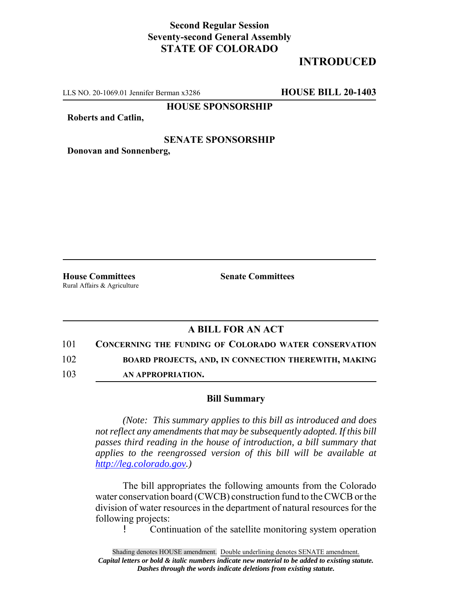## **Second Regular Session Seventy-second General Assembly STATE OF COLORADO**

# **INTRODUCED**

LLS NO. 20-1069.01 Jennifer Berman x3286 **HOUSE BILL 20-1403**

**HOUSE SPONSORSHIP**

**Roberts and Catlin,**

#### **SENATE SPONSORSHIP**

**Donovan and Sonnenberg,**

Rural Affairs & Agriculture

**House Committees Senate Committees** 

### **A BILL FOR AN ACT**

101 **CONCERNING THE FUNDING OF COLORADO WATER CONSERVATION**

102 **BOARD PROJECTS, AND, IN CONNECTION THEREWITH, MAKING**

103 **AN APPROPRIATION.**

#### **Bill Summary**

*(Note: This summary applies to this bill as introduced and does not reflect any amendments that may be subsequently adopted. If this bill passes third reading in the house of introduction, a bill summary that applies to the reengrossed version of this bill will be available at http://leg.colorado.gov.)*

The bill appropriates the following amounts from the Colorado water conservation board (CWCB) construction fund to the CWCB or the division of water resources in the department of natural resources for the following projects:

! Continuation of the satellite monitoring system operation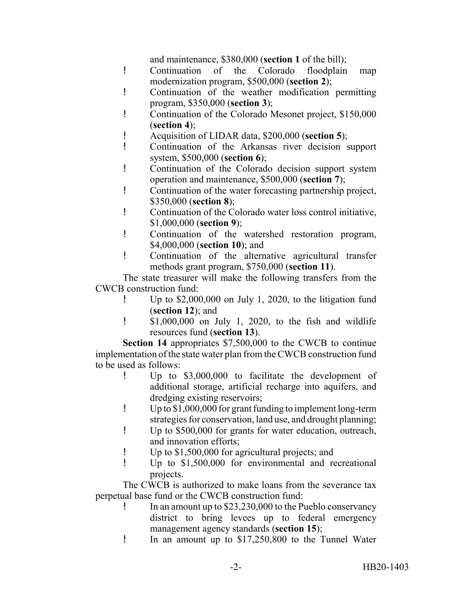and maintenance, \$380,000 (**section 1** of the bill);

- ! Continuation of the Colorado floodplain map modernization program, \$500,000 (**section 2**);
- ! Continuation of the weather modification permitting program, \$350,000 (**section 3**);
- ! Continuation of the Colorado Mesonet project, \$150,000 (**section 4**);
- ! Acquisition of LIDAR data, \$200,000 (**section 5**);
- ! Continuation of the Arkansas river decision support system, \$500,000 (**section 6**);
- ! Continuation of the Colorado decision support system operation and maintenance, \$500,000 (**section 7**);
- ! Continuation of the water forecasting partnership project, \$350,000 (**section 8**);
- ! Continuation of the Colorado water loss control initiative, \$1,000,000 (**section 9**);
- ! Continuation of the watershed restoration program, \$4,000,000 (**section 10**); and
- ! Continuation of the alternative agricultural transfer methods grant program, \$750,000 (**section 11**).

The state treasurer will make the following transfers from the CWCB construction fund:

- ! Up to \$2,000,000 on July 1, 2020, to the litigation fund (**section 12**); and
- ! \$1,000,000 on July 1, 2020, to the fish and wildlife resources fund (**section 13**).

**Section 14** appropriates \$7,500,000 to the CWCB to continue implementation of the state water plan from the CWCB construction fund to be used as follows:

- ! Up to \$3,000,000 to facilitate the development of additional storage, artificial recharge into aquifers, and dredging existing reservoirs;
- ! Up to \$1,000,000 for grant funding to implement long-term strategies for conservation, land use, and drought planning;
- ! Up to \$500,000 for grants for water education, outreach, and innovation efforts;
- ! Up to \$1,500,000 for agricultural projects; and
- ! Up to \$1,500,000 for environmental and recreational projects.

The CWCB is authorized to make loans from the severance tax perpetual base fund or the CWCB construction fund:

- ! In an amount up to \$23,230,000 to the Pueblo conservancy district to bring levees up to federal emergency management agency standards (**section 15**);
- ! In an amount up to \$17,250,800 to the Tunnel Water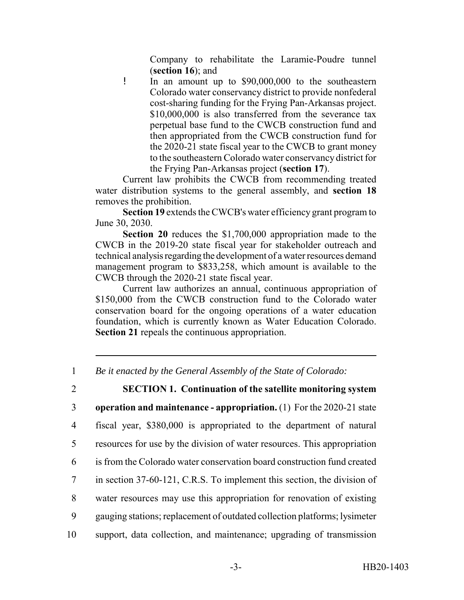Company to rehabilitate the Laramie-Poudre tunnel (**section 16**); and

! In an amount up to \$90,000,000 to the southeastern Colorado water conservancy district to provide nonfederal cost-sharing funding for the Frying Pan-Arkansas project. \$10,000,000 is also transferred from the severance tax perpetual base fund to the CWCB construction fund and then appropriated from the CWCB construction fund for the 2020-21 state fiscal year to the CWCB to grant money to the southeastern Colorado water conservancy district for the Frying Pan-Arkansas project (**section 17**).

Current law prohibits the CWCB from recommending treated water distribution systems to the general assembly, and **section 18** removes the prohibition.

**Section 19** extends the CWCB's water efficiency grant program to June 30, 2030.

**Section 20** reduces the \$1,700,000 appropriation made to the CWCB in the 2019-20 state fiscal year for stakeholder outreach and technical analysis regarding the development of a water resources demand management program to \$833,258, which amount is available to the CWCB through the 2020-21 state fiscal year.

Current law authorizes an annual, continuous appropriation of \$150,000 from the CWCB construction fund to the Colorado water conservation board for the ongoing operations of a water education foundation, which is currently known as Water Education Colorado. **Section 21** repeals the continuous appropriation.

1 *Be it enacted by the General Assembly of the State of Colorado:*

2 **SECTION 1. Continuation of the satellite monitoring system** 3 **operation and maintenance - appropriation.** (1) For the 2020-21 state

4 fiscal year, \$380,000 is appropriated to the department of natural

5 resources for use by the division of water resources. This appropriation

- 6 is from the Colorado water conservation board construction fund created
- 7 in section 37-60-121, C.R.S. To implement this section, the division of
- 8 water resources may use this appropriation for renovation of existing
- 9 gauging stations; replacement of outdated collection platforms; lysimeter
- 10 support, data collection, and maintenance; upgrading of transmission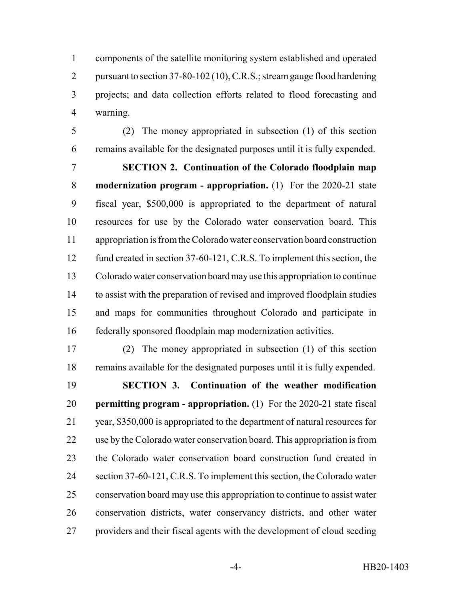components of the satellite monitoring system established and operated 2 pursuant to section 37-80-102 (10), C.R.S.; stream gauge flood hardening projects; and data collection efforts related to flood forecasting and warning.

 (2) The money appropriated in subsection (1) of this section remains available for the designated purposes until it is fully expended.

 **SECTION 2. Continuation of the Colorado floodplain map modernization program - appropriation.** (1) For the 2020-21 state fiscal year, \$500,000 is appropriated to the department of natural resources for use by the Colorado water conservation board. This appropriation is from the Colorado water conservation board construction 12 fund created in section 37-60-121, C.R.S. To implement this section, the Colorado water conservation board may use this appropriation to continue to assist with the preparation of revised and improved floodplain studies and maps for communities throughout Colorado and participate in federally sponsored floodplain map modernization activities.

 (2) The money appropriated in subsection (1) of this section remains available for the designated purposes until it is fully expended. **SECTION 3. Continuation of the weather modification**

 **permitting program - appropriation.** (1) For the 2020-21 state fiscal year, \$350,000 is appropriated to the department of natural resources for use by the Colorado water conservation board. This appropriation is from the Colorado water conservation board construction fund created in section 37-60-121, C.R.S. To implement this section, the Colorado water conservation board may use this appropriation to continue to assist water conservation districts, water conservancy districts, and other water providers and their fiscal agents with the development of cloud seeding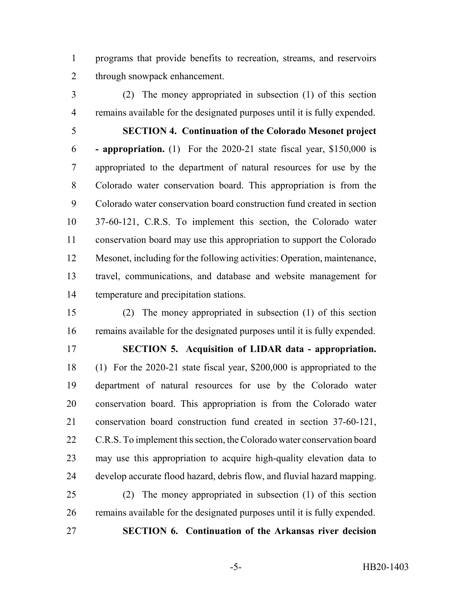programs that provide benefits to recreation, streams, and reservoirs through snowpack enhancement.

 (2) The money appropriated in subsection (1) of this section remains available for the designated purposes until it is fully expended.

 **SECTION 4. Continuation of the Colorado Mesonet project - appropriation.** (1) For the 2020-21 state fiscal year, \$150,000 is appropriated to the department of natural resources for use by the Colorado water conservation board. This appropriation is from the Colorado water conservation board construction fund created in section 37-60-121, C.R.S. To implement this section, the Colorado water conservation board may use this appropriation to support the Colorado Mesonet, including for the following activities: Operation, maintenance, travel, communications, and database and website management for temperature and precipitation stations.

 (2) The money appropriated in subsection (1) of this section remains available for the designated purposes until it is fully expended. **SECTION 5. Acquisition of LIDAR data - appropriation.** (1) For the 2020-21 state fiscal year, \$200,000 is appropriated to the department of natural resources for use by the Colorado water conservation board. This appropriation is from the Colorado water conservation board construction fund created in section 37-60-121, 22 C.R.S. To implement this section, the Colorado water conservation board may use this appropriation to acquire high-quality elevation data to develop accurate flood hazard, debris flow, and fluvial hazard mapping.

 (2) The money appropriated in subsection (1) of this section remains available for the designated purposes until it is fully expended.

**SECTION 6. Continuation of the Arkansas river decision**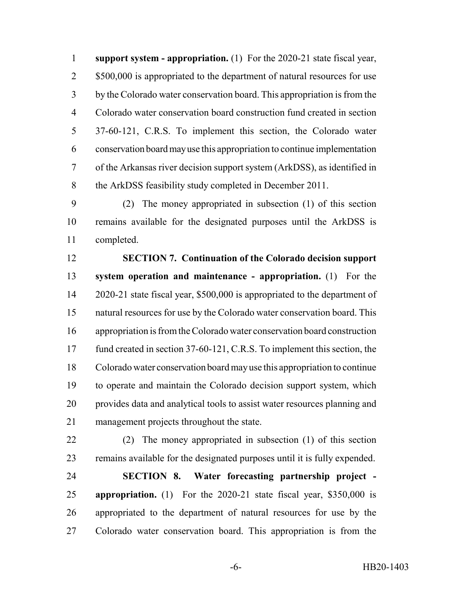**support system - appropriation.** (1) For the 2020-21 state fiscal year, 2 \$500,000 is appropriated to the department of natural resources for use by the Colorado water conservation board. This appropriation is from the Colorado water conservation board construction fund created in section 37-60-121, C.R.S. To implement this section, the Colorado water conservation board may use this appropriation to continue implementation of the Arkansas river decision support system (ArkDSS), as identified in the ArkDSS feasibility study completed in December 2011.

 (2) The money appropriated in subsection (1) of this section remains available for the designated purposes until the ArkDSS is completed.

 **SECTION 7. Continuation of the Colorado decision support system operation and maintenance - appropriation.** (1) For the 2020-21 state fiscal year, \$500,000 is appropriated to the department of natural resources for use by the Colorado water conservation board. This appropriation is from the Colorado water conservation board construction 17 fund created in section 37-60-121, C.R.S. To implement this section, the Colorado water conservation board may use this appropriation to continue to operate and maintain the Colorado decision support system, which provides data and analytical tools to assist water resources planning and management projects throughout the state.

 (2) The money appropriated in subsection (1) of this section remains available for the designated purposes until it is fully expended.

 **SECTION 8. Water forecasting partnership project - appropriation.** (1) For the 2020-21 state fiscal year, \$350,000 is appropriated to the department of natural resources for use by the Colorado water conservation board. This appropriation is from the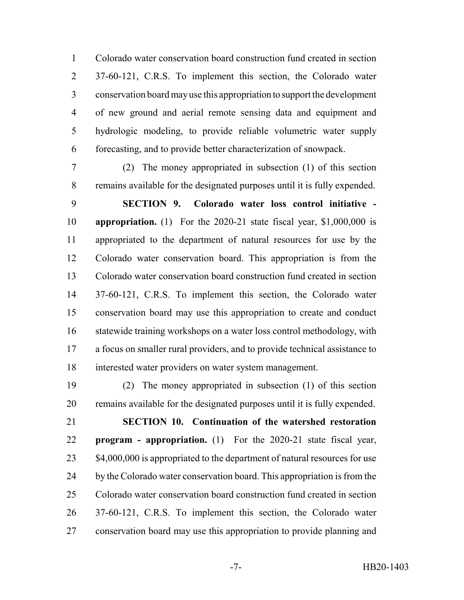Colorado water conservation board construction fund created in section 37-60-121, C.R.S. To implement this section, the Colorado water conservation board may use this appropriation to support the development of new ground and aerial remote sensing data and equipment and hydrologic modeling, to provide reliable volumetric water supply forecasting, and to provide better characterization of snowpack.

 (2) The money appropriated in subsection (1) of this section remains available for the designated purposes until it is fully expended.

 **SECTION 9. Colorado water loss control initiative - appropriation.** (1) For the 2020-21 state fiscal year, \$1,000,000 is appropriated to the department of natural resources for use by the Colorado water conservation board. This appropriation is from the Colorado water conservation board construction fund created in section 37-60-121, C.R.S. To implement this section, the Colorado water conservation board may use this appropriation to create and conduct 16 statewide training workshops on a water loss control methodology, with a focus on smaller rural providers, and to provide technical assistance to interested water providers on water system management.

 (2) The money appropriated in subsection (1) of this section remains available for the designated purposes until it is fully expended.

 **SECTION 10. Continuation of the watershed restoration program - appropriation.** (1) For the 2020-21 state fiscal year, 23 \$4,000,000 is appropriated to the department of natural resources for use 24 by the Colorado water conservation board. This appropriation is from the Colorado water conservation board construction fund created in section 37-60-121, C.R.S. To implement this section, the Colorado water conservation board may use this appropriation to provide planning and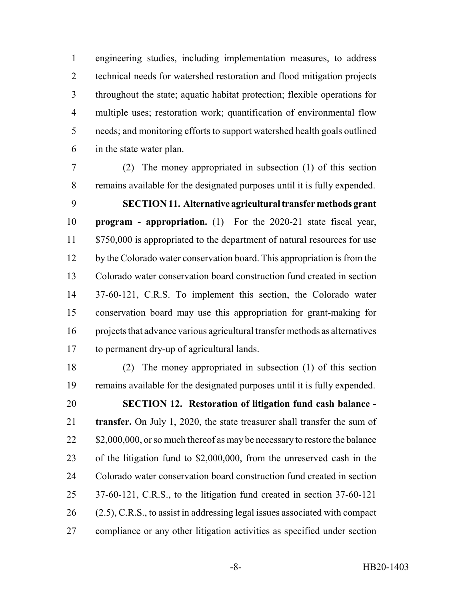engineering studies, including implementation measures, to address technical needs for watershed restoration and flood mitigation projects throughout the state; aquatic habitat protection; flexible operations for multiple uses; restoration work; quantification of environmental flow needs; and monitoring efforts to support watershed health goals outlined in the state water plan.

 (2) The money appropriated in subsection (1) of this section remains available for the designated purposes until it is fully expended.

 **SECTION 11. Alternative agricultural transfer methods grant program - appropriation.** (1) For the 2020-21 state fiscal year, 11 \$750,000 is appropriated to the department of natural resources for use 12 by the Colorado water conservation board. This appropriation is from the Colorado water conservation board construction fund created in section 37-60-121, C.R.S. To implement this section, the Colorado water conservation board may use this appropriation for grant-making for projects that advance various agricultural transfer methods as alternatives to permanent dry-up of agricultural lands.

 (2) The money appropriated in subsection (1) of this section remains available for the designated purposes until it is fully expended.

 **SECTION 12. Restoration of litigation fund cash balance - transfer.** On July 1, 2020, the state treasurer shall transfer the sum of 22 \$2,000,000, or so much thereof as may be necessary to restore the balance of the litigation fund to \$2,000,000, from the unreserved cash in the Colorado water conservation board construction fund created in section 37-60-121, C.R.S., to the litigation fund created in section 37-60-121 (2.5), C.R.S., to assist in addressing legal issues associated with compact compliance or any other litigation activities as specified under section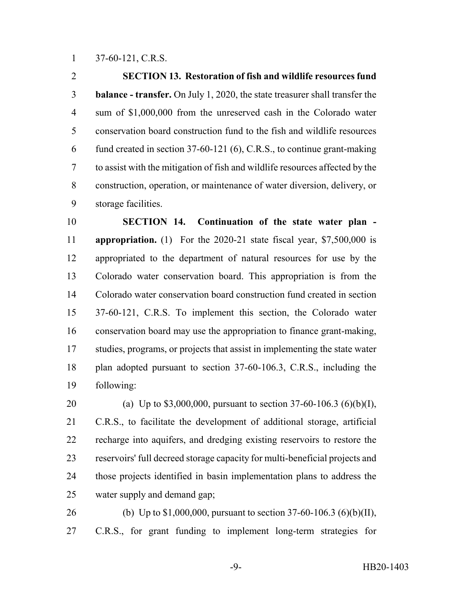37-60-121, C.R.S.

 **SECTION 13. Restoration of fish and wildlife resources fund balance - transfer.** On July 1, 2020, the state treasurer shall transfer the sum of \$1,000,000 from the unreserved cash in the Colorado water conservation board construction fund to the fish and wildlife resources fund created in section 37-60-121 (6), C.R.S., to continue grant-making to assist with the mitigation of fish and wildlife resources affected by the construction, operation, or maintenance of water diversion, delivery, or storage facilities.

 **SECTION 14. Continuation of the state water plan - appropriation.** (1) For the 2020-21 state fiscal year, \$7,500,000 is appropriated to the department of natural resources for use by the Colorado water conservation board. This appropriation is from the Colorado water conservation board construction fund created in section 37-60-121, C.R.S. To implement this section, the Colorado water conservation board may use the appropriation to finance grant-making, studies, programs, or projects that assist in implementing the state water plan adopted pursuant to section 37-60-106.3, C.R.S., including the following:

 (a) Up to \$3,000,000, pursuant to section 37-60-106.3 (6)(b)(I), C.R.S., to facilitate the development of additional storage, artificial recharge into aquifers, and dredging existing reservoirs to restore the reservoirs' full decreed storage capacity for multi-beneficial projects and those projects identified in basin implementation plans to address the water supply and demand gap;

 (b) Up to \$1,000,000, pursuant to section 37-60-106.3 (6)(b)(II), C.R.S., for grant funding to implement long-term strategies for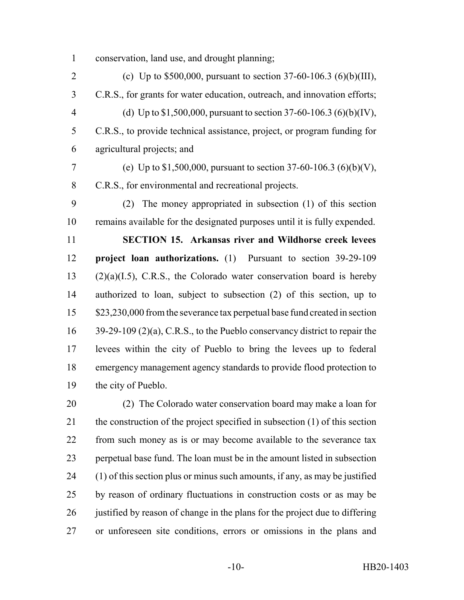conservation, land use, and drought planning;

 (c) Up to \$500,000, pursuant to section 37-60-106.3 (6)(b)(III), C.R.S., for grants for water education, outreach, and innovation efforts; (d) Up to \$1,500,000, pursuant to section 37-60-106.3 (6)(b)(IV), C.R.S., to provide technical assistance, project, or program funding for agricultural projects; and (e) Up to \$1,500,000, pursuant to section 37-60-106.3 (6)(b)(V), C.R.S., for environmental and recreational projects. (2) The money appropriated in subsection (1) of this section remains available for the designated purposes until it is fully expended. **SECTION 15. Arkansas river and Wildhorse creek levees project loan authorizations.** (1) Pursuant to section 39-29-109 (2)(a)(I.5), C.R.S., the Colorado water conservation board is hereby authorized to loan, subject to subsection (2) of this section, up to \$23,230,000 from the severance tax perpetual base fund created in section

 39-29-109 (2)(a), C.R.S., to the Pueblo conservancy district to repair the levees within the city of Pueblo to bring the levees up to federal emergency management agency standards to provide flood protection to the city of Pueblo.

 (2) The Colorado water conservation board may make a loan for the construction of the project specified in subsection (1) of this section from such money as is or may become available to the severance tax perpetual base fund. The loan must be in the amount listed in subsection (1) of this section plus or minus such amounts, if any, as may be justified by reason of ordinary fluctuations in construction costs or as may be 26 justified by reason of change in the plans for the project due to differing or unforeseen site conditions, errors or omissions in the plans and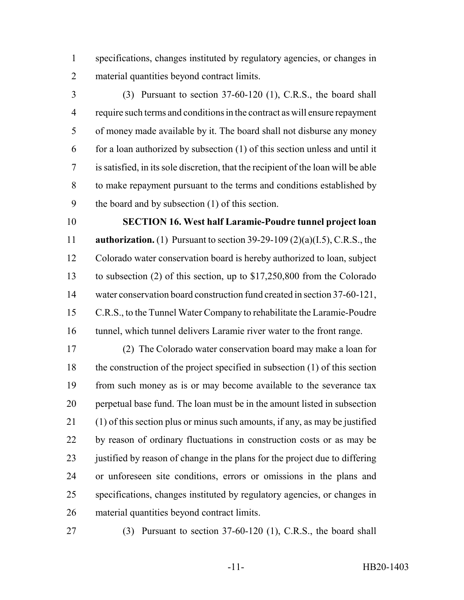specifications, changes instituted by regulatory agencies, or changes in material quantities beyond contract limits.

 (3) Pursuant to section 37-60-120 (1), C.R.S., the board shall require such terms and conditions in the contract as will ensure repayment of money made available by it. The board shall not disburse any money for a loan authorized by subsection (1) of this section unless and until it is satisfied, in its sole discretion, that the recipient of the loan will be able to make repayment pursuant to the terms and conditions established by the board and by subsection (1) of this section.

 **SECTION 16. West half Laramie-Poudre tunnel project loan authorization.** (1) Pursuant to section 39-29-109 (2)(a)(I.5), C.R.S., the Colorado water conservation board is hereby authorized to loan, subject to subsection (2) of this section, up to \$17,250,800 from the Colorado water conservation board construction fund created in section 37-60-121, C.R.S., to the Tunnel Water Company to rehabilitate the Laramie-Poudre tunnel, which tunnel delivers Laramie river water to the front range.

 (2) The Colorado water conservation board may make a loan for the construction of the project specified in subsection (1) of this section from such money as is or may become available to the severance tax perpetual base fund. The loan must be in the amount listed in subsection (1) of this section plus or minus such amounts, if any, as may be justified by reason of ordinary fluctuations in construction costs or as may be 23 justified by reason of change in the plans for the project due to differing or unforeseen site conditions, errors or omissions in the plans and specifications, changes instituted by regulatory agencies, or changes in material quantities beyond contract limits.

(3) Pursuant to section 37-60-120 (1), C.R.S., the board shall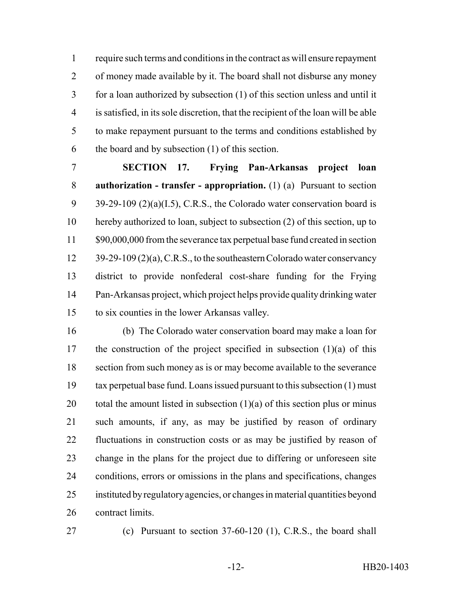require such terms and conditions in the contract as will ensure repayment of money made available by it. The board shall not disburse any money for a loan authorized by subsection (1) of this section unless and until it is satisfied, in its sole discretion, that the recipient of the loan will be able to make repayment pursuant to the terms and conditions established by the board and by subsection (1) of this section.

 **SECTION 17. Frying Pan-Arkansas project loan authorization - transfer - appropriation.** (1) (a) Pursuant to section 9 39-29-109 (2)(a)(I.5), C.R.S., the Colorado water conservation board is hereby authorized to loan, subject to subsection (2) of this section, up to 11 \$90,000,000 from the severance tax perpetual base fund created in section 12 39-29-109 (2)(a), C.R.S., to the southeastern Colorado water conservancy district to provide nonfederal cost-share funding for the Frying Pan-Arkansas project, which project helps provide quality drinking water to six counties in the lower Arkansas valley.

 (b) The Colorado water conservation board may make a loan for the construction of the project specified in subsection (1)(a) of this section from such money as is or may become available to the severance tax perpetual base fund. Loans issued pursuant to this subsection (1) must 20 total the amount listed in subsection  $(1)(a)$  of this section plus or minus such amounts, if any, as may be justified by reason of ordinary fluctuations in construction costs or as may be justified by reason of change in the plans for the project due to differing or unforeseen site conditions, errors or omissions in the plans and specifications, changes instituted by regulatory agencies, or changes in material quantities beyond contract limits.

(c) Pursuant to section 37-60-120 (1), C.R.S., the board shall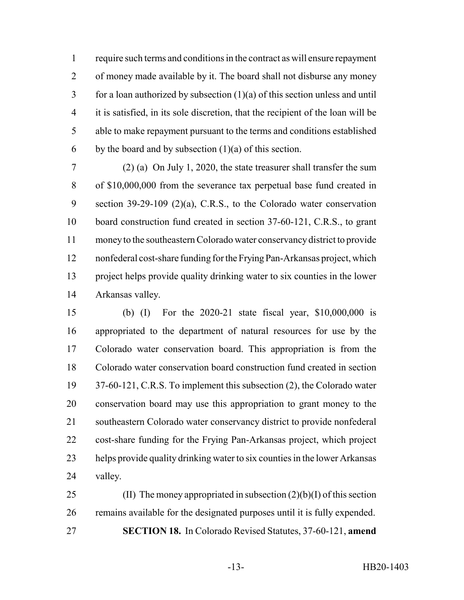require such terms and conditions in the contract as will ensure repayment of money made available by it. The board shall not disburse any money for a loan authorized by subsection (1)(a) of this section unless and until it is satisfied, in its sole discretion, that the recipient of the loan will be able to make repayment pursuant to the terms and conditions established 6 by the board and by subsection  $(1)(a)$  of this section.

 (2) (a) On July 1, 2020, the state treasurer shall transfer the sum of \$10,000,000 from the severance tax perpetual base fund created in section 39-29-109 (2)(a), C.R.S., to the Colorado water conservation board construction fund created in section 37-60-121, C.R.S., to grant money to the southeastern Colorado water conservancy district to provide nonfederal cost-share funding for the Frying Pan-Arkansas project, which project helps provide quality drinking water to six counties in the lower Arkansas valley.

 (b) (I) For the 2020-21 state fiscal year, \$10,000,000 is appropriated to the department of natural resources for use by the Colorado water conservation board. This appropriation is from the Colorado water conservation board construction fund created in section 37-60-121, C.R.S. To implement this subsection (2), the Colorado water conservation board may use this appropriation to grant money to the southeastern Colorado water conservancy district to provide nonfederal cost-share funding for the Frying Pan-Arkansas project, which project helps provide quality drinking water to six counties in the lower Arkansas valley.

25 (II) The money appropriated in subsection  $(2)(b)(I)$  of this section remains available for the designated purposes until it is fully expended. **SECTION 18.** In Colorado Revised Statutes, 37-60-121, **amend**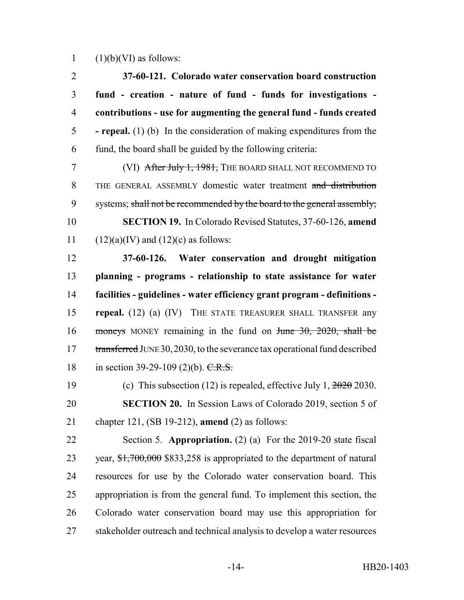1  $(1)(b)(VI)$  as follows:

| $\overline{2}$ | 37-60-121. Colorado water conservation board construction                                                                   |
|----------------|-----------------------------------------------------------------------------------------------------------------------------|
| 3              | fund - creation - nature of fund - funds for investigations -                                                               |
| $\overline{4}$ | contributions - use for augmenting the general fund - funds created                                                         |
| 5              | - repeal. $(1)$ (b) In the consideration of making expenditures from the                                                    |
| 6              | fund, the board shall be guided by the following criteria:                                                                  |
| $\overline{7}$ | (VI) After July 1, 1981, THE BOARD SHALL NOT RECOMMEND TO                                                                   |
| 8              | THE GENERAL ASSEMBLY domestic water treatment and distribution                                                              |
| 9              | systems; shall not be recommended by the board to the general assembly;                                                     |
| 10             | <b>SECTION 19.</b> In Colorado Revised Statutes, 37-60-126, amend                                                           |
| 11             | $(12)(a)(IV)$ and $(12)(c)$ as follows:                                                                                     |
| 12             | 37-60-126. Water conservation and drought mitigation                                                                        |
| 13             | planning - programs - relationship to state assistance for water                                                            |
| 14             | facilities - guidelines - water efficiency grant program - definitions -                                                    |
| 15             | repeal. (12) (a) (IV) THE STATE TREASURER SHALL TRANSFER any                                                                |
| 16             | moneys MONEY remaining in the fund on $\frac{\text{Hence}}{\text{Hence}}$ 30, 2020, shall be                                |
| 17             | transferred JUNE 30, 2030, to the severance tax operational fund described                                                  |
| 18             | in section 39-29-109 (2)(b). $C.R.S.$                                                                                       |
| 19             | (c) This subsection (12) is repealed, effective July 1, $2020$ 2030.                                                        |
| 20             | <b>SECTION 20.</b> In Session Laws of Colorado 2019, section 5 of                                                           |
| 21             | chapter 121, $(SB 19-212)$ , amend $(2)$ as follows:                                                                        |
| 22             | Section 5. Appropriation. (2) (a) For the $2019-20$ state fiscal                                                            |
| 23             | year, $\frac{1}{3}, \frac{1}{6}, \frac{1}{6}, \frac{1}{6}, \frac{1}{6}$ sessentially separated to the department of natural |
| 24             | resources for use by the Colorado water conservation board. This                                                            |
| 25             | appropriation is from the general fund. To implement this section, the                                                      |
| 26             | Colorado water conservation board may use this appropriation for                                                            |
| 27             | stakeholder outreach and technical analysis to develop a water resources                                                    |